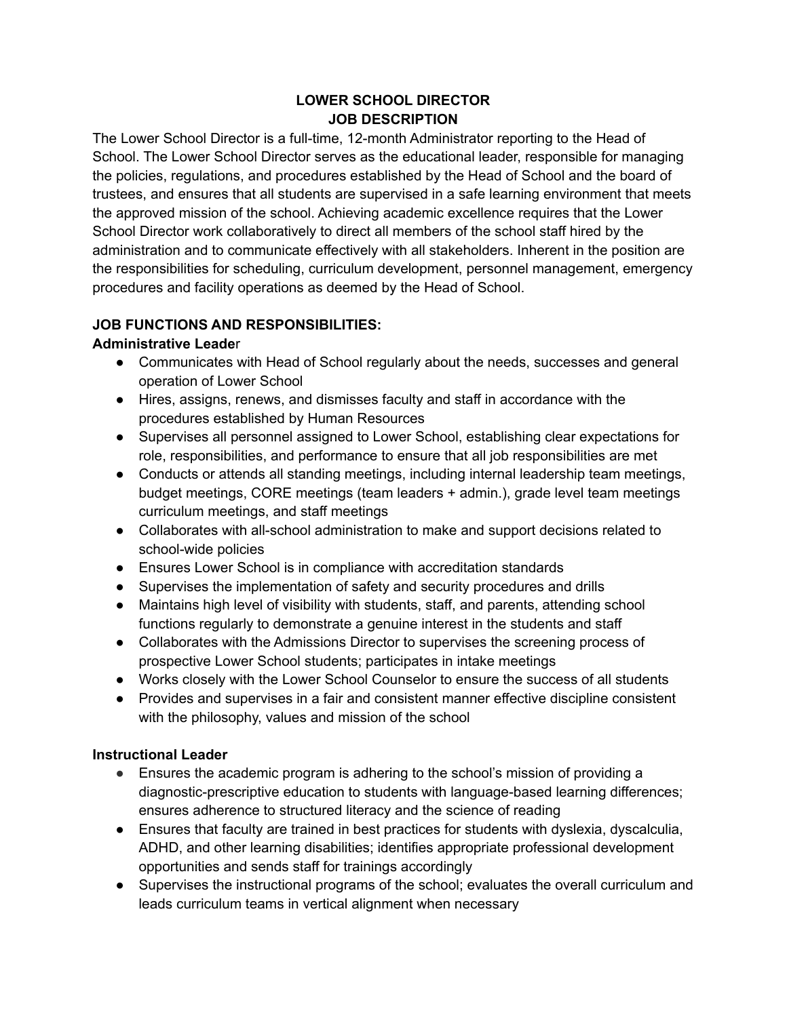#### **LOWER SCHOOL DIRECTOR JOB DESCRIPTION**

The Lower School Director is a full-time, 12-month Administrator reporting to the Head of School. The Lower School Director serves as the educational leader, responsible for managing the policies, regulations, and procedures established by the Head of School and the board of trustees, and ensures that all students are supervised in a safe learning environment that meets the approved mission of the school. Achieving academic excellence requires that the Lower School Director work collaboratively to direct all members of the school staff hired by the administration and to communicate effectively with all stakeholders. Inherent in the position are the responsibilities for scheduling, curriculum development, personnel management, emergency procedures and facility operations as deemed by the Head of School.

### **JOB FUNCTIONS AND RESPONSIBILITIES:**

### **Administrative Leade**r

- Communicates with Head of School regularly about the needs, successes and general operation of Lower School
- Hires, assigns, renews, and dismisses faculty and staff in accordance with the procedures established by Human Resources
- Supervises all personnel assigned to Lower School, establishing clear expectations for role, responsibilities, and performance to ensure that all job responsibilities are met
- Conducts or attends all standing meetings, including internal leadership team meetings, budget meetings, CORE meetings (team leaders + admin.), grade level team meetings curriculum meetings, and staff meetings
- Collaborates with all-school administration to make and support decisions related to school-wide policies
- Ensures Lower School is in compliance with accreditation standards
- Supervises the implementation of safety and security procedures and drills
- Maintains high level of visibility with students, staff, and parents, attending school functions regularly to demonstrate a genuine interest in the students and staff
- Collaborates with the Admissions Director to supervises the screening process of prospective Lower School students; participates in intake meetings
- Works closely with the Lower School Counselor to ensure the success of all students
- Provides and supervises in a fair and consistent manner effective discipline consistent with the philosophy, values and mission of the school

## **Instructional Leader**

- Ensures the academic program is adhering to the school's mission of providing a diagnostic-prescriptive education to students with language-based learning differences; ensures adherence to structured literacy and the science of reading
- Ensures that faculty are trained in best practices for students with dyslexia, dyscalculia, ADHD, and other learning disabilities; identifies appropriate professional development opportunities and sends staff for trainings accordingly
- Supervises the instructional programs of the school; evaluates the overall curriculum and leads curriculum teams in vertical alignment when necessary